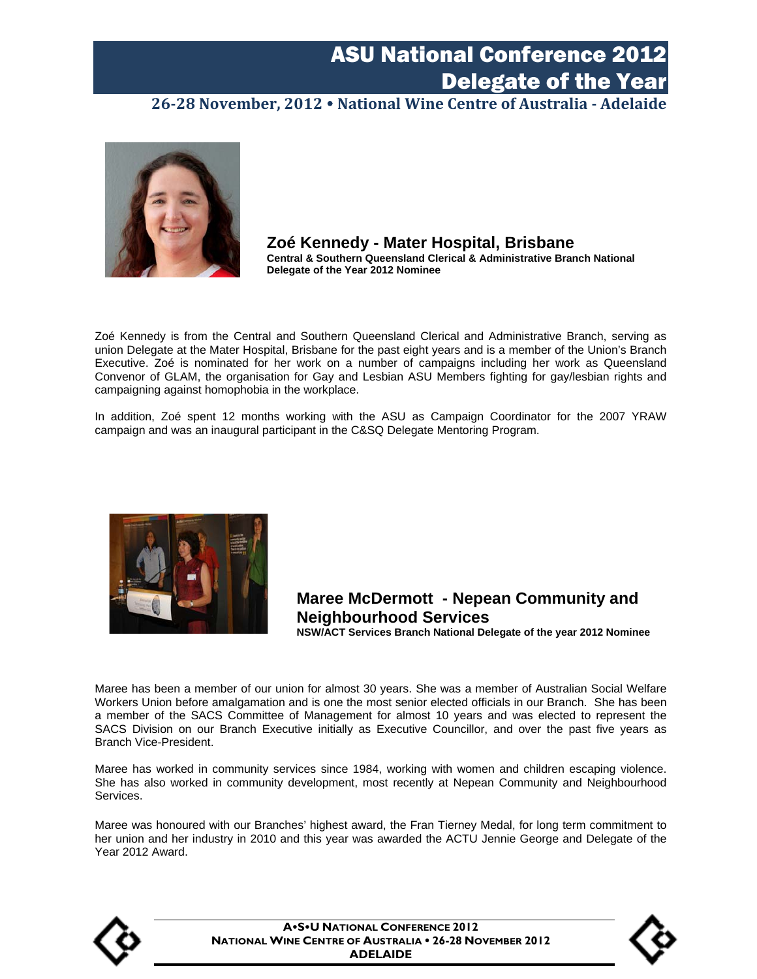**26‐28 November, 2012 National Wine Centre of Australia ‐ Adelaide**



**Zoé Kennedy - Mater Hospital, Brisbane Central & Southern Queensland Clerical & Administrative Branch National Delegate of the Year 2012 Nominee** 

Zoé Kennedy is from the Central and Southern Queensland Clerical and Administrative Branch, serving as union Delegate at the Mater Hospital, Brisbane for the past eight years and is a member of the Union's Branch Executive. Zoé is nominated for her work on a number of campaigns including her work as Queensland Convenor of GLAM, the organisation for Gay and Lesbian ASU Members fighting for gay/lesbian rights and campaigning against homophobia in the workplace.

In addition, Zoé spent 12 months working with the ASU as Campaign Coordinator for the 2007 YRAW campaign and was an inaugural participant in the C&SQ Delegate Mentoring Program.



#### **Maree McDermott - Nepean Community and Neighbourhood Services**

**NSW/ACT Services Branch National Delegate of the year 2012 Nominee** 

Maree has been a member of our union for almost 30 years. She was a member of Australian Social Welfare Workers Union before amalgamation and is one the most senior elected officials in our Branch. She has been a member of the SACS Committee of Management for almost 10 years and was elected to represent the SACS Division on our Branch Executive initially as Executive Councillor, and over the past five years as Branch Vice-President.

Maree has worked in community services since 1984, working with women and children escaping violence. She has also worked in community development, most recently at Nepean Community and Neighbourhood Services.

Maree was honoured with our Branches' highest award, the Fran Tierney Medal, for long term commitment to her union and her industry in 2010 and this year was awarded the ACTU Jennie George and Delegate of the Year 2012 Award.



**ASU NATIONAL CONFERENCE 2012 NATIONAL WINE CENTRE OF AUSTRALIA 26-28 NOVEMBER 2012 ADELAIDE**

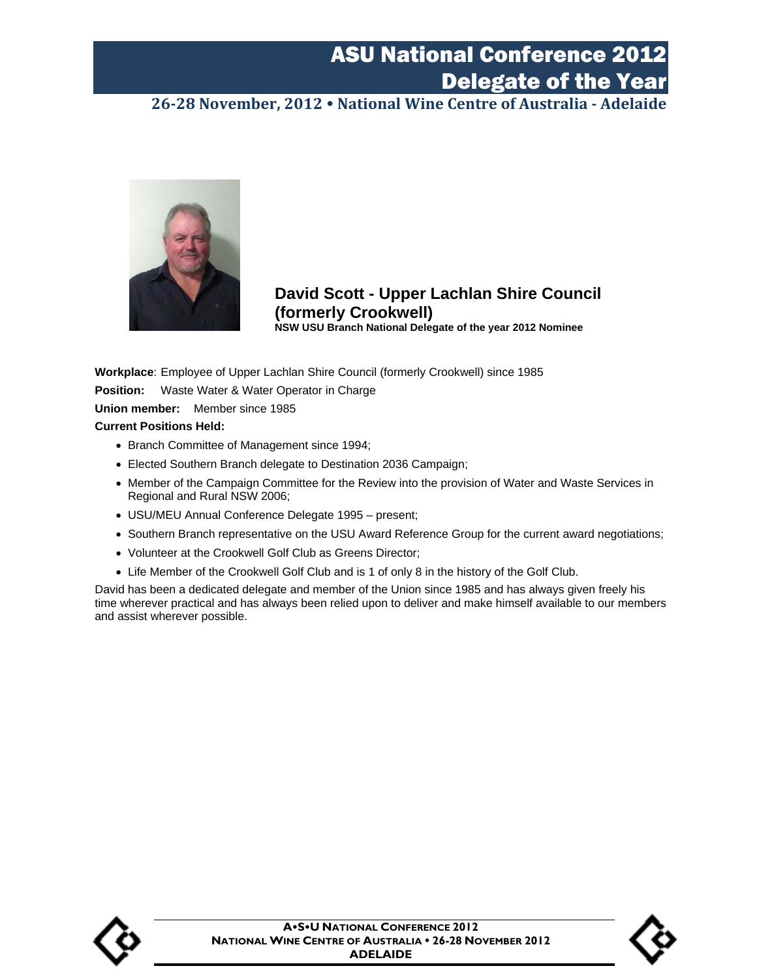**26‐28 November, 2012 National Wine Centre of Australia ‐ Adelaide**



**David Scott - Upper Lachlan Shire Council (formerly Crookwell) NSW USU Branch National Delegate of the year 2012 Nominee** 

**Workplace**: Employee of Upper Lachlan Shire Council (formerly Crookwell) since 1985

**Position:** Waste Water & Water Operator in Charge

**Union member:** Member since 1985

#### **Current Positions Held:**

- Branch Committee of Management since 1994;
- Elected Southern Branch delegate to Destination 2036 Campaign;
- Member of the Campaign Committee for the Review into the provision of Water and Waste Services in Regional and Rural NSW 2006;
- USU/MEU Annual Conference Delegate 1995 present;
- Southern Branch representative on the USU Award Reference Group for the current award negotiations;
- Volunteer at the Crookwell Golf Club as Greens Director;
- Life Member of the Crookwell Golf Club and is 1 of only 8 in the history of the Golf Club.

David has been a dedicated delegate and member of the Union since 1985 and has always given freely his time wherever practical and has always been relied upon to deliver and make himself available to our members and assist wherever possible.



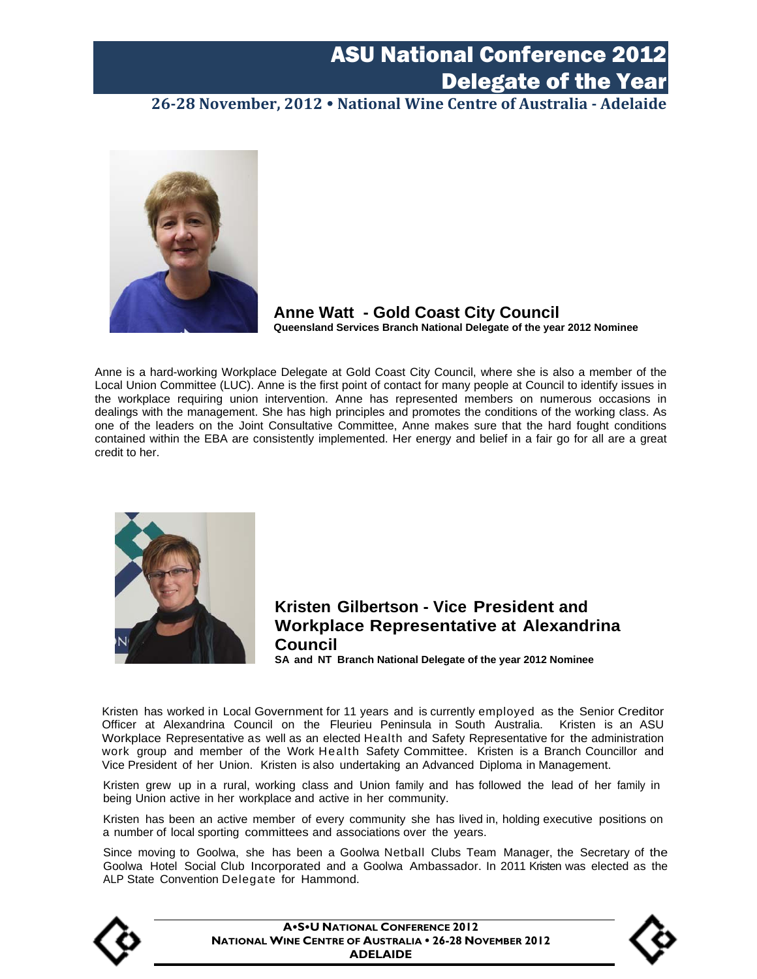**26‐28 November, 2012 National Wine Centre of Australia ‐ Adelaide**



**Anne Watt - Gold Coast City Council Queensland Services Branch National Delegate of the year 2012 Nominee** 

Anne is a hard-working Workplace Delegate at Gold Coast City Council, where she is also a member of the Local Union Committee (LUC). Anne is the first point of contact for many people at Council to identify issues in the workplace requiring union intervention. Anne has represented members on numerous occasions in dealings with the management. She has high principles and promotes the conditions of the working class. As one of the leaders on the Joint Consultative Committee, Anne makes sure that the hard fought conditions contained within the EBA are consistently implemented. Her energy and belief in a fair go for all are a great credit to her.



#### **Kristen Gilbertson - Vice President and Workplace Representative at Alexandrina Council** SA and National Delegate of the year 2012 Nominee SA and NT Branch National Delegate of the year 2012 Nominee

Kristen has worked in Local Government for 11 years and is currently employed as the Senior Creditor Officer at Alexandrina Council on the Fleurieu Peninsula in South Australia. Kristen is an ASU Workplace Representative as well as an elected Health and Safety Representative for the administration work group and member of the Work Health Safety Committee. Kristen is a Branch Councillor and Vice President of her Union. Kristen is also undertaking an Advanced Diploma in Management.

Kristen grew up in a rural, working class and Union family and has followed the lead of her family in being Union active in her workplace and active in her community.

Kristen has been an active member of every community she has lived in, holding executive positions on a number of local sporting committees and associations over the years.

Since moving to Goolwa, she has been a Goolwa Netball Clubs Team Manager, the Secretary of the Goolwa Hotel Social Club Incorporated and a Goolwa Ambassador. In 2011 Kristen was elected as the ALP State Convention Delegate for Hammond.



**ASU NATIONAL CONFERENCE 2012 NATIONAL WINE CENTRE OF AUSTRALIA 26-28 NOVEMBER 2012 ADELAIDE**

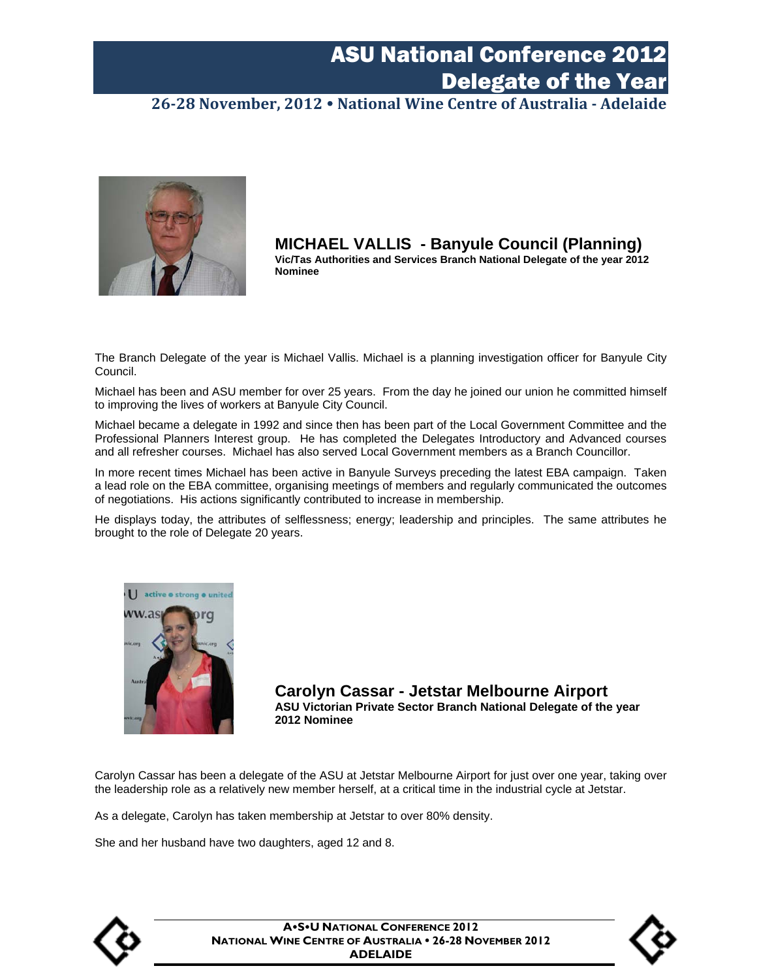**26‐28 November, 2012 National Wine Centre of Australia ‐ Adelaide**



**MICHAEL VALLIS - Banyule Council (Planning) Vic/Tas Authorities and Services Branch National Delegate of the year 2012 Nominee** 

The Branch Delegate of the year is Michael Vallis. Michael is a planning investigation officer for Banyule City Council.

Michael has been and ASU member for over 25 years. From the day he joined our union he committed himself to improving the lives of workers at Banyule City Council.

Michael became a delegate in 1992 and since then has been part of the Local Government Committee and the Professional Planners Interest group. He has completed the Delegates Introductory and Advanced courses and all refresher courses. Michael has also served Local Government members as a Branch Councillor.

In more recent times Michael has been active in Banyule Surveys preceding the latest EBA campaign. Taken a lead role on the EBA committee, organising meetings of members and regularly communicated the outcomes of negotiations. His actions significantly contributed to increase in membership.

He displays today, the attributes of selflessness; energy; leadership and principles. The same attributes he brought to the role of Delegate 20 years.



**Carolyn Cassar - Jetstar Melbourne Airport ASU Victorian Private Sector Branch National Delegate of the year 2012 Nominee** 

Carolyn Cassar has been a delegate of the ASU at Jetstar Melbourne Airport for just over one year, taking over the leadership role as a relatively new member herself, at a critical time in the industrial cycle at Jetstar.

As a delegate, Carolyn has taken membership at Jetstar to over 80% density.

She and her husband have two daughters, aged 12 and 8.